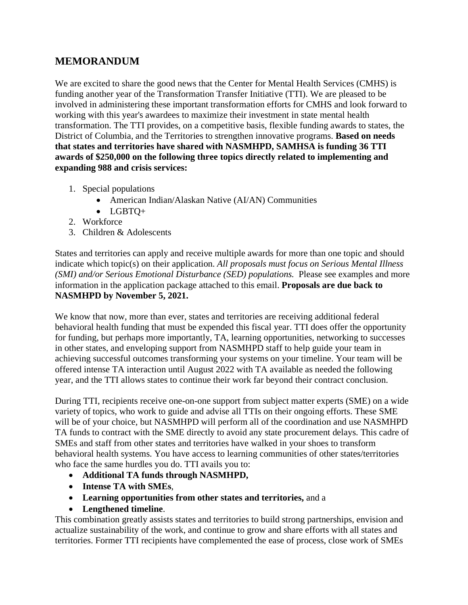## **MEMORANDUM**

We are excited to share the good news that the Center for Mental Health Services (CMHS) is funding another year of the Transformation Transfer Initiative (TTI). We are pleased to be involved in administering these important transformation efforts for CMHS and look forward to working with this year's awardees to maximize their investment in state mental health transformation. The TTI provides, on a competitive basis, flexible funding awards to states, the District of Columbia, and the Territories to strengthen innovative programs. **Based on needs that states and territories have shared with NASMHPD, SAMHSA is funding 36 TTI awards of \$250,000 on the following three topics directly related to implementing and expanding 988 and crisis services:**

- 1. Special populations
	- American Indian/Alaskan Native (AI/AN) Communities
	- LGBTQ+
- 2. Workforce
- 3. Children & Adolescents

States and territories can apply and receive multiple awards for more than one topic and should indicate which topic(s) on their application. *All proposals must focus on Serious Mental Illness (SMI) and/or Serious Emotional Disturbance (SED) populations.* Please see examples and more information in the application package attached to this email. **Proposals are due back to NASMHPD by November 5, 2021.**

We know that now, more than ever, states and territories are receiving additional federal behavioral health funding that must be expended this fiscal year. TTI does offer the opportunity for funding, but perhaps more importantly, TA, learning opportunities, networking to successes in other states, and enveloping support from NASMHPD staff to help guide your team in achieving successful outcomes transforming your systems on your timeline. Your team will be offered intense TA interaction until August 2022 with TA available as needed the following year, and the TTI allows states to continue their work far beyond their contract conclusion.

During TTI, recipients receive one-on-one support from subject matter experts (SME) on a wide variety of topics, who work to guide and advise all TTIs on their ongoing efforts. These SME will be of your choice, but NASMHPD will perform all of the coordination and use NASMHPD TA funds to contract with the SME directly to avoid any state procurement delays. This cadre of SMEs and staff from other states and territories have walked in your shoes to transform behavioral health systems. You have access to learning communities of other states/territories who face the same hurdles you do. TTI avails you to:

- **Additional TA funds through NASMHPD,**
- **Intense TA with SMEs**,
- **Learning opportunities from other states and territories,** and a
- **Lengthened timeline**.

This combination greatly assists states and territories to build strong partnerships, envision and actualize sustainability of the work, and continue to grow and share efforts with all states and territories. Former TTI recipients have complemented the ease of process, close work of SMEs